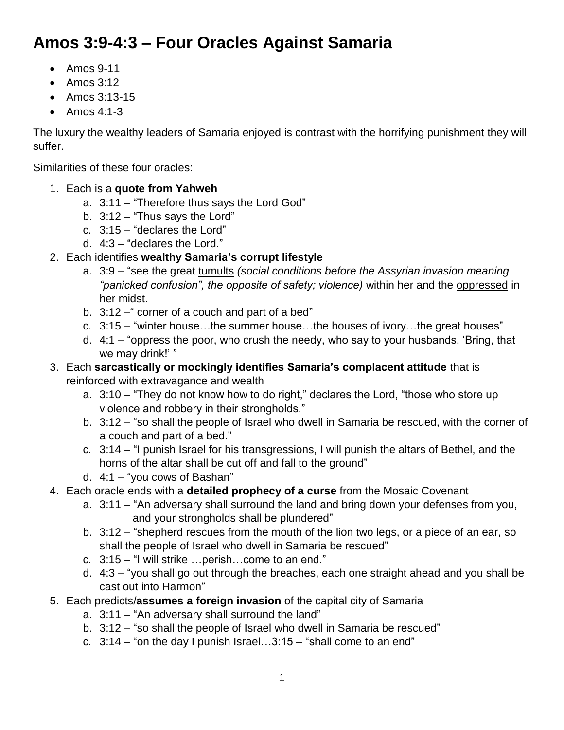# **Amos 3:9-4:3 – Four Oracles Against Samaria**

- $\bullet$  Amos 9-11
- $\bullet$  Amos 3:12
- Amos 3:13-15
- $\bullet$  Amos 4:1-3

The luxury the wealthy leaders of Samaria enjoyed is contrast with the horrifying punishment they will suffer.

Similarities of these four oracles:

- 1. Each is a **quote from Yahweh**
	- a. 3:11 "Therefore thus says the Lord God"
	- b. 3:12 "Thus says the Lord"
	- c. 3:15 "declares the Lord"
	- d. 4:3 "declares the Lord."
- 2. Each identifies **wealthy Samaria's corrupt lifestyle**
	- a. 3:9 "see the great tumults *(social conditions before the Assyrian invasion meaning "panicked confusion", the opposite of safety; violence)* within her and the oppressed in her midst.
	- b. 3:12 corner of a couch and part of a bed"
	- c. 3:15 "winter house…the summer house…the houses of ivory…the great houses"
	- d. 4:1 "oppress the poor, who crush the needy, who say to your husbands, 'Bring, that we may drink!' "
- 3. Each **sarcastically or mockingly identifies Samaria's complacent attitude** that is reinforced with extravagance and wealth
	- a. 3:10 "They do not know how to do right," declares the Lord, "those who store up violence and robbery in their strongholds."
	- b. 3:12 "so shall the people of Israel who dwell in Samaria be rescued, with the corner of a couch and part of a bed."
	- c. 3:14 "I punish Israel for his transgressions, I will punish the altars of Bethel, and the horns of the altar shall be cut off and fall to the ground"
	- d. 4:1 "you cows of Bashan"
- 4. Each oracle ends with a **detailed prophecy of a curse** from the Mosaic Covenant
	- a. 3:11 "An adversary shall surround the land and bring down your defenses from you, and your strongholds shall be plundered"
	- b. 3:12 "shepherd rescues from the mouth of the lion two legs, or a piece of an ear, so shall the people of Israel who dwell in Samaria be rescued"
	- c. 3:15 "I will strike …perish…come to an end."
	- d. 4:3 "you shall go out through the breaches, each one straight ahead and you shall be cast out into Harmon"
- 5. Each predicts/**assumes a foreign invasion** of the capital city of Samaria
	- a. 3:11 "An adversary shall surround the land"
	- b. 3:12 "so shall the people of Israel who dwell in Samaria be rescued"
	- c.  $3:14$  "on the day I punish Israel... $3:15$  "shall come to an end"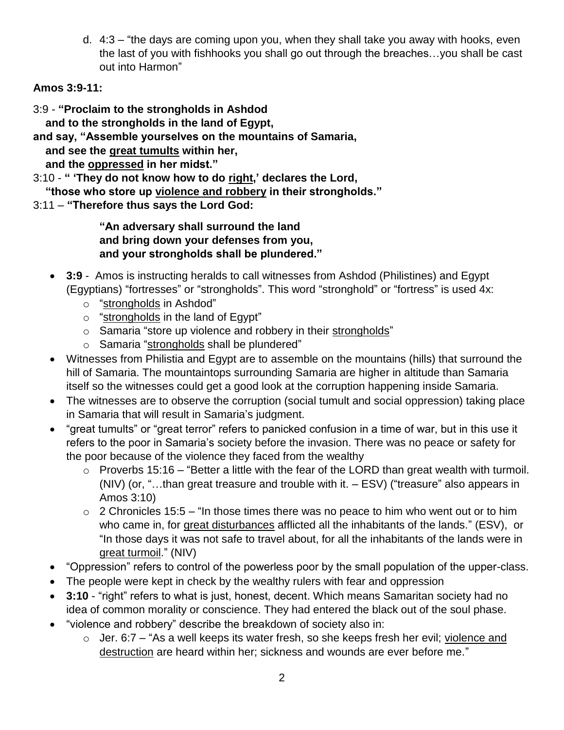d. 4:3 – "the days are coming upon you, when they shall take you away with hooks, even the last of you with fishhooks you shall go out through the breaches…you shall be cast out into Harmon"

#### **Amos 3:9-11:**

3:9 - **"Proclaim to the strongholds in Ashdod**

 **and to the strongholds in the land of Egypt,**

**and say, "Assemble yourselves on the mountains of Samaria,**

 **and see the great tumults within her,**

 **and the oppressed in her midst."**

3:10 - **" 'They do not know how to do right,' declares the Lord,**

 **"those who store up violence and robbery in their strongholds."**

3:11 – **"Therefore thus says the Lord God:**

**"An adversary shall surround the land and bring down your defenses from you, and your strongholds shall be plundered."**

- **3:9** Amos is instructing heralds to call witnesses from Ashdod (Philistines) and Egypt (Egyptians) "fortresses" or "strongholds". This word "stronghold" or "fortress" is used 4x:
	- o "strongholds in Ashdod"
	- $\circ$  "strongholds in the land of Egypt"
	- o Samaria "store up violence and robbery in their strongholds"
	- o Samaria "strongholds shall be plundered"
- Witnesses from Philistia and Egypt are to assemble on the mountains (hills) that surround the hill of Samaria. The mountaintops surrounding Samaria are higher in altitude than Samaria itself so the witnesses could get a good look at the corruption happening inside Samaria.
- The witnesses are to observe the corruption (social tumult and social oppression) taking place in Samaria that will result in Samaria's judgment.
- "great tumults" or "great terror" refers to panicked confusion in a time of war, but in this use it refers to the poor in Samaria's society before the invasion. There was no peace or safety for the poor because of the violence they faced from the wealthy
	- $\circ$  Proverbs 15:16 "Better a little with the fear of the LORD than great wealth with turmoil. (NIV) (or, "…than great treasure and trouble with it. – ESV) ("treasure" also appears in Amos 3:10)
	- $\circ$  2 Chronicles 15:5 "In those times there was no peace to him who went out or to him who came in, for great disturbances afflicted all the inhabitants of the lands." (ESV), or "In those days it was not safe to travel about, for all the inhabitants of the lands were in great turmoil." (NIV)
- "Oppression" refers to control of the powerless poor by the small population of the upper-class.
- The people were kept in check by the wealthy rulers with fear and oppression
- **3:10** "right" refers to what is just, honest, decent. Which means Samaritan society had no idea of common morality or conscience. They had entered the black out of the soul phase.
- "violence and robbery" describe the breakdown of society also in:
	- o Jer. 6:7 "As a well keeps its water fresh, so she keeps fresh her evil; violence and destruction are heard within her; sickness and wounds are ever before me."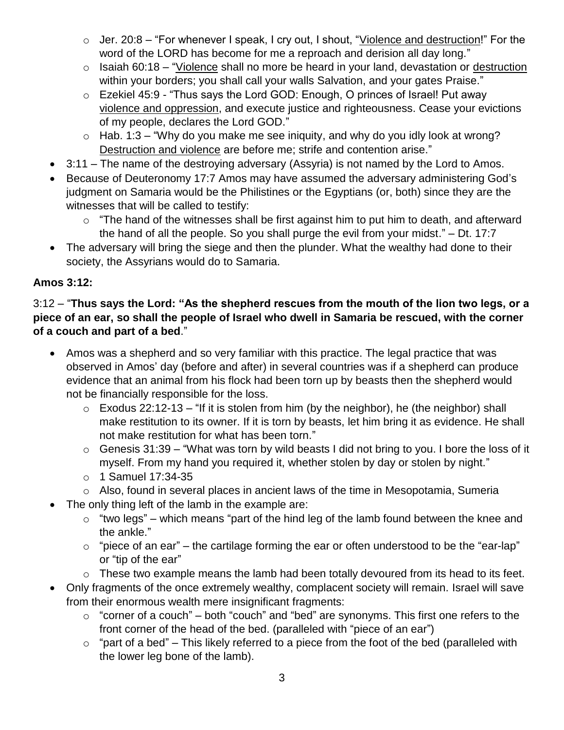- $\circ$  Jer. 20:8 "For whenever I speak, I cry out, I shout, "Violence and destruction!" For the word of the LORD has become for me a reproach and derision all day long."
- $\circ$  Isaiah 60:18 "Violence shall no more be heard in your land, devastation or destruction within your borders; you shall call your walls Salvation, and your gates Praise."
- o Ezekiel 45:9 "Thus says the Lord GOD: Enough, O princes of Israel! Put away violence and oppression, and execute justice and righteousness. Cease your evictions of my people, declares the Lord GOD."
- $\circ$  Hab. 1:3 "Why do you make me see iniquity, and why do you idly look at wrong? Destruction and violence are before me; strife and contention arise."
- 3:11 The name of the destroying adversary (Assyria) is not named by the Lord to Amos.
- Because of Deuteronomy 17:7 Amos may have assumed the adversary administering God's judgment on Samaria would be the Philistines or the Egyptians (or, both) since they are the witnesses that will be called to testify:
	- $\circ$  "The hand of the witnesses shall be first against him to put him to death, and afterward the hand of all the people. So you shall purge the evil from your midst." – Dt. 17:7
- The adversary will bring the siege and then the plunder. What the wealthy had done to their society, the Assyrians would do to Samaria.

## **Amos 3:12:**

#### 3:12 – "**Thus says the Lord: "As the shepherd rescues from the mouth of the lion two legs, or a piece of an ear, so shall the people of Israel who dwell in Samaria be rescued, with the corner of a couch and part of a bed**."

- Amos was a shepherd and so very familiar with this practice. The legal practice that was observed in Amos' day (before and after) in several countries was if a shepherd can produce evidence that an animal from his flock had been torn up by beasts then the shepherd would not be financially responsible for the loss.
	- $\circ$  Exodus 22:12-13 "If it is stolen from him (by the neighbor), he (the neighbor) shall make restitution to its owner. If it is torn by beasts, let him bring it as evidence. He shall not make restitution for what has been torn."
	- $\circ$  Genesis 31:39 "What was torn by wild beasts I did not bring to you. I bore the loss of it myself. From my hand you required it, whether stolen by day or stolen by night."
	- o 1 Samuel 17:34-35
	- o Also, found in several places in ancient laws of the time in Mesopotamia, Sumeria
- The only thing left of the lamb in the example are:
	- $\circ$  "two legs" which means "part of the hind leg of the lamb found between the knee and the ankle."
	- $\circ$  "piece of an ear" the cartilage forming the ear or often understood to be the "ear-lap" or "tip of the ear"
	- o These two example means the lamb had been totally devoured from its head to its feet.
- Only fragments of the once extremely wealthy, complacent society will remain. Israel will save from their enormous wealth mere insignificant fragments:
	- $\circ$  "corner of a couch" both "couch" and "bed" are synonyms. This first one refers to the front corner of the head of the bed. (paralleled with "piece of an ear")
	- $\circ$  "part of a bed" This likely referred to a piece from the foot of the bed (paralleled with the lower leg bone of the lamb).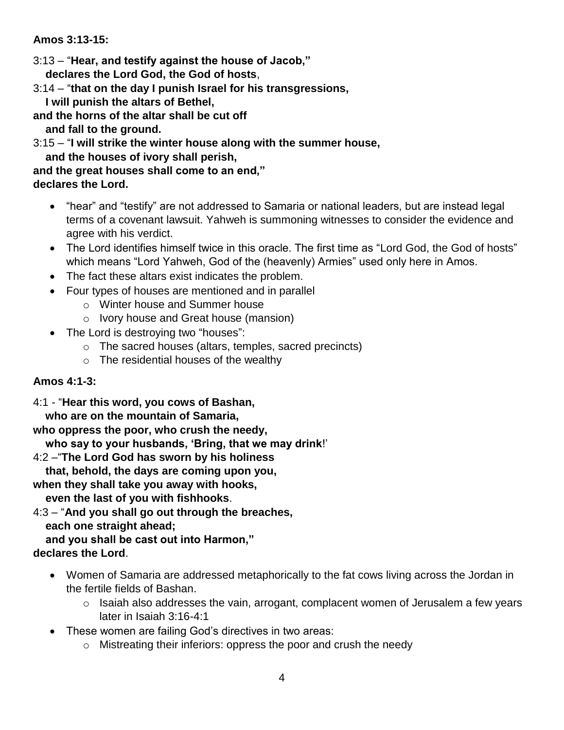**Amos 3:13-15:**

- 3:13 "**Hear, and testify against the house of Jacob," declares the Lord God, the God of hosts**,
- 3:14 "**that on the day I punish Israel for his transgressions,**
- **I will punish the altars of Bethel,**
- **and the horns of the altar shall be cut off and fall to the ground.**
- 3:15 "**I will strike the winter house along with the summer house, and the houses of ivory shall perish,**
- **and the great houses shall come to an end," declares the Lord.**
	- "hear" and "testify" are not addressed to Samaria or national leaders, but are instead legal terms of a covenant lawsuit. Yahweh is summoning witnesses to consider the evidence and agree with his verdict.
	- The Lord identifies himself twice in this oracle. The first time as "Lord God, the God of hosts" which means "Lord Yahweh, God of the (heavenly) Armies" used only here in Amos.
	- The fact these altars exist indicates the problem.
	- Four types of houses are mentioned and in parallel
		- o Winter house and Summer house
		- o Ivory house and Great house (mansion)
	- The Lord is destroying two "houses":
		- o The sacred houses (altars, temples, sacred precincts)
		- $\circ$  The residential houses of the wealthy

## **Amos 4:1-3:**

- 4:1 "**Hear this word, you cows of Bashan,**
	- **who are on the mountain of Samaria,**
- **who oppress the poor, who crush the needy,**
- **who say to your husbands, 'Bring, that we may drink**!'
- 4:2 –"**The Lord God has sworn by his holiness**
- **that, behold, the days are coming upon you,**
- **when they shall take you away with hooks,**
- **even the last of you with fishhooks**.
- 4:3 "**And you shall go out through the breaches, each one straight ahead;**
- **and you shall be cast out into Harmon," declares the Lord**.
	- Women of Samaria are addressed metaphorically to the fat cows living across the Jordan in the fertile fields of Bashan.
		- o Isaiah also addresses the vain, arrogant, complacent women of Jerusalem a few years later in Isaiah 3:16-4:1
	- These women are failing God's directives in two areas:
		- o Mistreating their inferiors: oppress the poor and crush the needy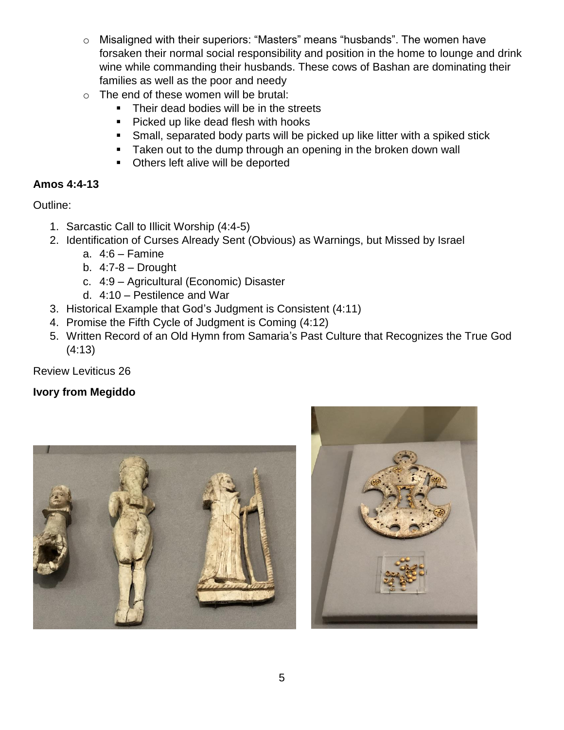- o Misaligned with their superiors: "Masters" means "husbands". The women have forsaken their normal social responsibility and position in the home to lounge and drink wine while commanding their husbands. These cows of Bashan are dominating their families as well as the poor and needy
- o The end of these women will be brutal:
	- Their dead bodies will be in the streets
	- **Picked up like dead flesh with hooks**
	- Small, separated body parts will be picked up like litter with a spiked stick
	- **Taken out to the dump through an opening in the broken down wall**
	- Others left alive will be deported

## **Amos 4:4-13**

Outline:

- 1. Sarcastic Call to Illicit Worship (4:4-5)
- 2. Identification of Curses Already Sent (Obvious) as Warnings, but Missed by Israel
	- a. 4:6 Famine
	- b.  $4:7-8$  Drought
	- c. 4:9 Agricultural (Economic) Disaster
	- d. 4:10 Pestilence and War
- 3. Historical Example that God's Judgment is Consistent (4:11)
- 4. Promise the Fifth Cycle of Judgment is Coming (4:12)
- 5. Written Record of an Old Hymn from Samaria's Past Culture that Recognizes the True God (4:13)

Review Leviticus 26

## **Ivory from Megiddo**